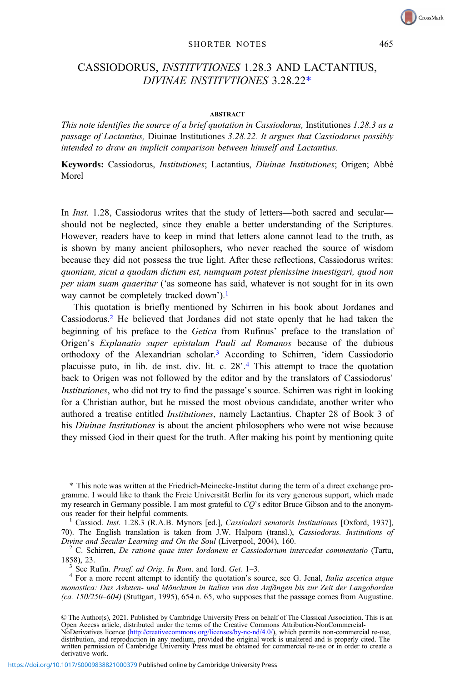## SHORTER NOTES 465

## CASSIODORUS, INSTITVTIONES 1.28.3 AND LACTANTIUS, DIVINAE INSTITVTIONES 3.28.22\*

## **ABSTRACT**

This note identifies the source of a brief quotation in Cassiodorus, Institutiones 1.28.3 as a passage of Lactantius, Diuinae Institutiones 3.28.22. It argues that Cassiodorus possibly intended to draw an implicit comparison between himself and Lactantius.

Keywords: Cassiodorus, Institutiones; Lactantius, Diuinae Institutiones; Origen; Abbé Morel

In *Inst.* 1.28, Cassiodorus writes that the study of letters—both sacred and secular should not be neglected, since they enable a better understanding of the Scriptures. However, readers have to keep in mind that letters alone cannot lead to the truth, as is shown by many ancient philosophers, who never reached the source of wisdom because they did not possess the true light. After these reflections, Cassiodorus writes: quoniam, sicut a quodam dictum est, numquam potest plenissime inuestigari, quod non per uiam suam quaeritur ('as someone has said, whatever is not sought for in its own way cannot be completely tracked down').<sup>1</sup>

This quotation is briefly mentioned by Schirren in his book about Jordanes and Cassiodorus.2 He believed that Jordanes did not state openly that he had taken the beginning of his preface to the Getica from Rufinus' preface to the translation of Origen's Explanatio super epistulam Pauli ad Romanos because of the dubious orthodoxy of the Alexandrian scholar.<sup>3</sup> According to Schirren, 'idem Cassiodorio placuisse puto, in lib. de inst. div. lit. c. 28'. <sup>4</sup> This attempt to trace the quotation back to Origen was not followed by the editor and by the translators of Cassiodorus' Institutiones, who did not try to find the passage's source. Schirren was right in looking for a Christian author, but he missed the most obvious candidate, another writer who authored a treatise entitled Institutiones, namely Lactantius. Chapter 28 of Book 3 of his Diuinae Institutiones is about the ancient philosophers who were not wise because they missed God in their quest for the truth. After making his point by mentioning quite

<sup>1</sup> Cassiod. Inst. 1.28.3 (R.A.B. Mynors [ed.], Cassiodori senatoris Institutiones [Oxford, 1937], 70). The English translation is taken from J.W. Halporn (transl.), Cassiodorus. Institutions of Divine and Secular Learning and On the Soul (Liverpool, 2004), 160.

2 C. Schirren, De ratione quae inter Iordanem et Cassiodorium intercedat commentatio (Tartu,

1858), 23.<br><sup>3</sup> See Rufin. *Praef. ad Orig. In Rom.* and Iord. *Get.* 1–3.<br><sup>4</sup> For a more recent attempt to identify the quotation's source, see G. Jenal, *Italia ascetica atque* monastica: Das Asketen- und Mönchtum in Italien von den Anfängen bis zur Zeit der Langobarden  $(ca. 150/250-604)$  (Stuttgart, 1995), 654 n. 65, who supposes that the passage comes from Augustine.

© The Author(s), 2021. Published by Cambridge University Press on behalf of The Classical Association. This is an Open Access article, distributed under the terms of the Creative Commons Attribution-NonCommercial-NoDerivatives licence [\(http://creativecommons.org/licenses/by-nc-nd/4.0/](http://creativecommons.org/licenses/by-nc-nd/4.0/)), which permits non-commercial re-use, distribution, and reproduction in any medium, provided the original work is unaltered and is properly cited. The written permission of Cambridge University Press must be obtained for commercial re-use or in order to create a derivative work.

<sup>\*</sup> This note was written at the Friedrich-Meinecke-Institut during the term of a direct exchange programme. I would like to thank the Freie Universität Berlin for its very generous support, which made my research in Germany possible. I am most grateful to CQ's editor Bruce Gibson and to the anonymous reader for their helpful comments.